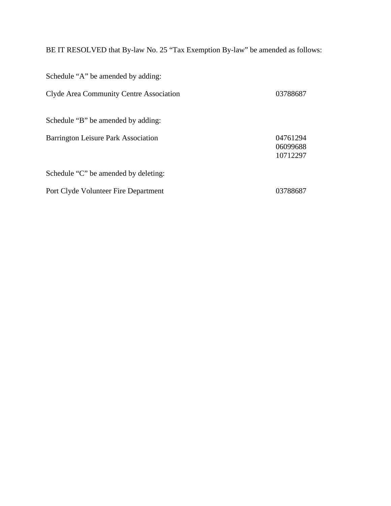BE IT RESOLVED that By-law No. 25 "Tax Exemption By-law" be amended as follows:

| Schedule "A" be amended by adding:      |                                  |
|-----------------------------------------|----------------------------------|
| Clyde Area Community Centre Association | 03788687                         |
| Schedule "B" be amended by adding:      |                                  |
| Barrington Leisure Park Association     | 04761294<br>06099688<br>10712297 |
| Schedule "C" be amended by deleting:    |                                  |
| Port Clyde Volunteer Fire Department    | 03788687                         |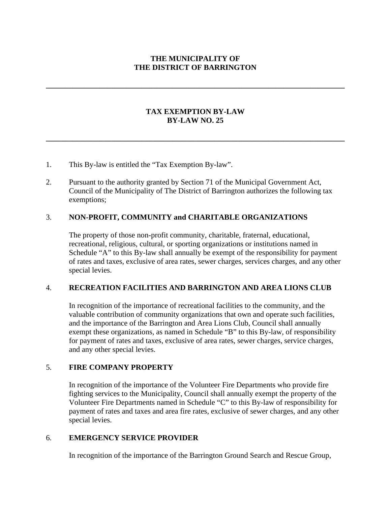#### **THE MUNICIPALITY OF THE DISTRICT OF BARRINGTON**

**\_\_\_\_\_\_\_\_\_\_\_\_\_\_\_\_\_\_\_\_\_\_\_\_\_\_\_\_\_\_\_\_\_\_\_\_\_\_\_\_\_\_\_\_\_\_\_\_\_\_\_\_\_\_\_\_\_\_\_\_\_\_\_\_\_\_\_\_\_\_\_\_\_\_\_\_\_\_**

#### **TAX EXEMPTION BY-LAW BY-LAW NO. 25**

**\_\_\_\_\_\_\_\_\_\_\_\_\_\_\_\_\_\_\_\_\_\_\_\_\_\_\_\_\_\_\_\_\_\_\_\_\_\_\_\_\_\_\_\_\_\_\_\_\_\_\_\_\_\_\_\_\_\_\_\_\_\_\_\_\_\_\_\_\_\_\_\_\_\_\_\_\_\_**

- 1. This By-law is entitled the "Tax Exemption By-law".
- 2. Pursuant to the authority granted by Section 71 of the Municipal Government Act, Council of the Municipality of The District of Barrington authorizes the following tax exemptions;

#### 3. **NON-PROFIT, COMMUNITY and CHARITABLE ORGANIZATIONS**

The property of those non-profit community, charitable, fraternal, educational, recreational, religious, cultural, or sporting organizations or institutions named in Schedule "A" to this By-law shall annually be exempt of the responsibility for payment of rates and taxes, exclusive of area rates, sewer charges, services charges, and any other special levies.

### 4. **RECREATION FACILITIES AND BARRINGTON AND AREA LIONS CLUB**

In recognition of the importance of recreational facilities to the community, and the valuable contribution of community organizations that own and operate such facilities, and the importance of the Barrington and Area Lions Club, Council shall annually exempt these organizations, as named in Schedule "B" to this By-law, of responsibility for payment of rates and taxes, exclusive of area rates, sewer charges, service charges, and any other special levies.

### 5. **FIRE COMPANY PROPERTY**

In recognition of the importance of the Volunteer Fire Departments who provide fire fighting services to the Municipality, Council shall annually exempt the property of the Volunteer Fire Departments named in Schedule "C" to this By-law of responsibility for payment of rates and taxes and area fire rates, exclusive of sewer charges, and any other special levies.

#### 6. **EMERGENCY SERVICE PROVIDER**

In recognition of the importance of the Barrington Ground Search and Rescue Group,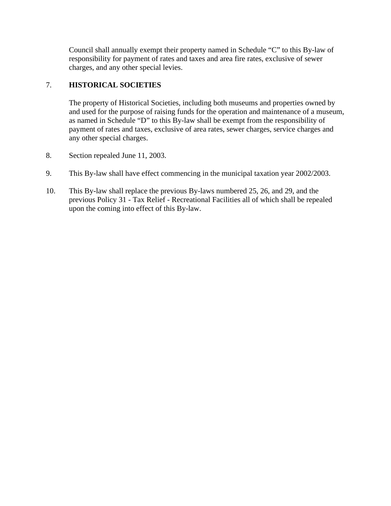Council shall annually exempt their property named in Schedule "C" to this By-law of responsibility for payment of rates and taxes and area fire rates, exclusive of sewer charges, and any other special levies.

# 7. **HISTORICAL SOCIETIES**

The property of Historical Societies, including both museums and properties owned by and used for the purpose of raising funds for the operation and maintenance of a museum, as named in Schedule "D" to this By-law shall be exempt from the responsibility of payment of rates and taxes, exclusive of area rates, sewer charges, service charges and any other special charges.

- 8. Section repealed June 11, 2003.
- 9. This By-law shall have effect commencing in the municipal taxation year 2002/2003.
- 10. This By-law shall replace the previous By-laws numbered 25, 26, and 29, and the previous Policy 31 - Tax Relief - Recreational Facilities all of which shall be repealed upon the coming into effect of this By-law.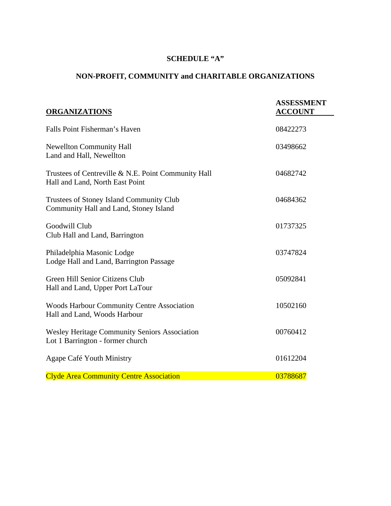# **SCHEDULE "A"**

# **NON-PROFIT, COMMUNITY and CHARITABLE ORGANIZATIONS**

| <b>ORGANIZATIONS</b>                                                                     | <b>ASSESSMENT</b><br><b>ACCOUNT</b> |
|------------------------------------------------------------------------------------------|-------------------------------------|
| Falls Point Fisherman's Haven                                                            | 08422273                            |
| <b>Newellton Community Hall</b><br>Land and Hall, Newellton                              | 03498662                            |
| Trustees of Centreville & N.E. Point Community Hall<br>Hall and Land, North East Point   | 04682742                            |
| Trustees of Stoney Island Community Club<br>Community Hall and Land, Stoney Island       | 04684362                            |
| Goodwill Club<br>Club Hall and Land, Barrington                                          | 01737325                            |
| Philadelphia Masonic Lodge<br>Lodge Hall and Land, Barrington Passage                    | 03747824                            |
| Green Hill Senior Citizens Club<br>Hall and Land, Upper Port LaTour                      | 05092841                            |
| <b>Woods Harbour Community Centre Association</b><br>Hall and Land, Woods Harbour        | 10502160                            |
| <b>Wesley Heritage Community Seniors Association</b><br>Lot 1 Barrington - former church | 00760412                            |
| Agape Café Youth Ministry                                                                | 01612204                            |
| <b>Clyde Area Community Centre Association</b>                                           | 03788687                            |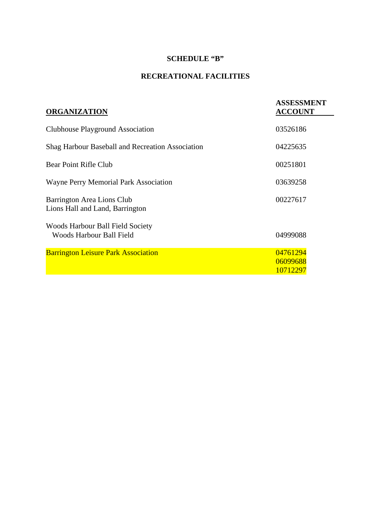# **SCHEDULE "B"**

# **RECREATIONAL FACILITIES**

| <b>ASSESSMENT</b><br><b>ACCOUNT</b> |
|-------------------------------------|
| 03526186                            |
| 04225635                            |
| 00251801                            |
| 03639258                            |
| 00227617                            |
| 04999088                            |
| 04761294<br>06099688<br>10712297    |
|                                     |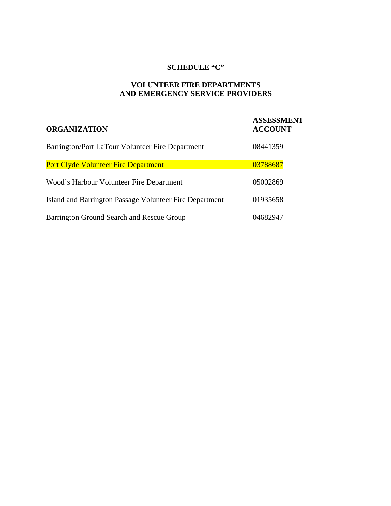### **SCHEDULE "C"**

# **VOLUNTEER FIRE DEPARTMENTS AND EMERGENCY SERVICE PROVIDERS**

| <b>ORGANIZATION</b>                                     | <b>ASSESSMENT</b><br><b>ACCOUNT</b> |
|---------------------------------------------------------|-------------------------------------|
| Barrington/Port LaTour Volunteer Fire Department        | 08441359                            |
| Port Clyde Volunteer Fire Department                    | 03788687                            |
| Wood's Harbour Volunteer Fire Department                | 05002869                            |
| Island and Barrington Passage Volunteer Fire Department | 01935658                            |
| Barrington Ground Search and Rescue Group               | 04682947                            |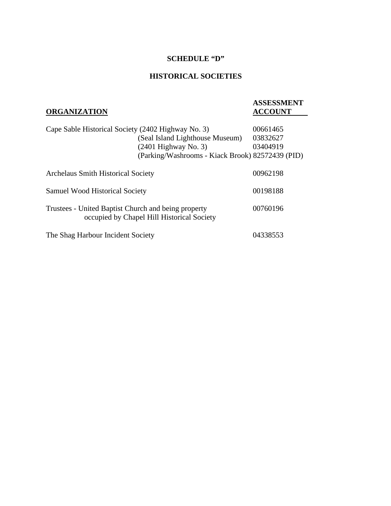#### **SCHEDULE "D"**

# **HISTORICAL SOCIETIES**

# **ORGANIZATION**

# **ASSESSMENT**

| Cape Sable Historical Society (2402 Highway No. 3)  |                                                  | 00661465 |
|-----------------------------------------------------|--------------------------------------------------|----------|
|                                                     | (Seal Island Lighthouse Museum)                  | 03832627 |
|                                                     | $(2401$ Highway No. 3)                           | 03404919 |
|                                                     | (Parking/Washrooms - Kiack Brook) 82572439 (PID) |          |
|                                                     |                                                  |          |
| <b>Archelaus Smith Historical Society</b>           |                                                  | 00962198 |
|                                                     |                                                  |          |
| <b>Samuel Wood Historical Society</b>               |                                                  | 00198188 |
|                                                     |                                                  |          |
| Trustees - United Baptist Church and being property |                                                  | 00760196 |
|                                                     | occupied by Chapel Hill Historical Society       |          |
|                                                     |                                                  |          |
| The Shag Harbour Incident Society                   |                                                  | 04338553 |